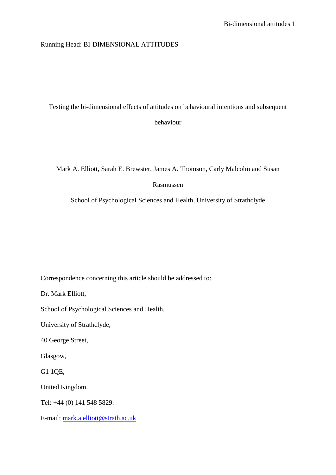# Running Head: BI-DIMENSIONAL ATTITUDES

Testing the bi-dimensional effects of attitudes on behavioural intentions and subsequent behaviour

Mark A. Elliott, Sarah E. Brewster, James A. Thomson, Carly Malcolm and Susan

# Rasmussen

School of Psychological Sciences and Health, University of Strathclyde

Correspondence concerning this article should be addressed to:

Dr. Mark Elliott,

School of Psychological Sciences and Health,

University of Strathclyde,

40 George Street,

Glasgow,

G1 1QE,

United Kingdom.

Tel: +44 (0) 141 548 5829.

E-mail: [mark.a.elliott@strath.ac.uk](mailto:mark.a.elliott@strath.ac.uk)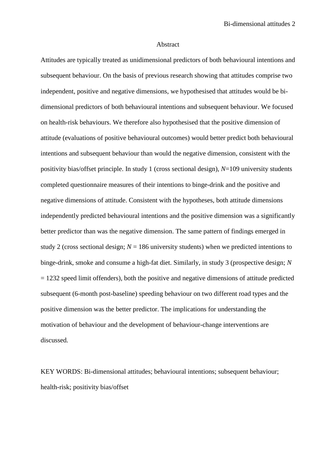#### Abstract

Attitudes are typically treated as unidimensional predictors of both behavioural intentions and subsequent behaviour. On the basis of previous research showing that attitudes comprise two independent, positive and negative dimensions, we hypothesised that attitudes would be bidimensional predictors of both behavioural intentions and subsequent behaviour. We focused on health-risk behaviours. We therefore also hypothesised that the positive dimension of attitude (evaluations of positive behavioural outcomes) would better predict both behavioural intentions and subsequent behaviour than would the negative dimension, consistent with the positivity bias/offset principle. In study 1 (cross sectional design), *N*=109 university students completed questionnaire measures of their intentions to binge-drink and the positive and negative dimensions of attitude. Consistent with the hypotheses, both attitude dimensions independently predicted behavioural intentions and the positive dimension was a significantly better predictor than was the negative dimension. The same pattern of findings emerged in study 2 (cross sectional design;  $N = 186$  university students) when we predicted intentions to binge-drink, smoke and consume a high-fat diet. Similarly, in study 3 (prospective design; *N*  $= 1232$  speed limit offenders), both the positive and negative dimensions of attitude predicted subsequent (6-month post-baseline) speeding behaviour on two different road types and the positive dimension was the better predictor. The implications for understanding the motivation of behaviour and the development of behaviour-change interventions are discussed.

KEY WORDS: Bi-dimensional attitudes; behavioural intentions; subsequent behaviour; health-risk; positivity bias/offset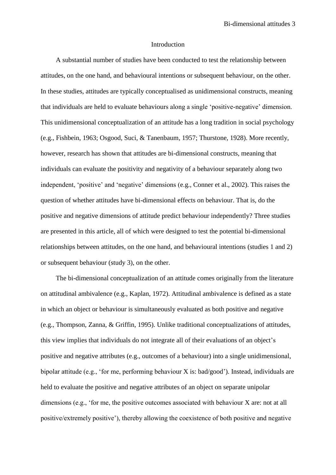## Introduction

A substantial number of studies have been conducted to test the relationship between attitudes, on the one hand, and behavioural intentions or subsequent behaviour, on the other. In these studies, attitudes are typically conceptualised as unidimensional constructs, meaning that individuals are held to evaluate behaviours along a single 'positive-negative' dimension. This unidimensional conceptualization of an attitude has a long tradition in social psychology (e.g., Fishbein, 1963; Osgood, Suci, & Tanenbaum, 1957; Thurstone, 1928). More recently, however, research has shown that attitudes are bi-dimensional constructs, meaning that individuals can evaluate the positivity and negativity of a behaviour separately along two independent, 'positive' and 'negative' dimensions (e.g., Conner et al., 2002). This raises the question of whether attitudes have bi-dimensional effects on behaviour. That is, do the positive and negative dimensions of attitude predict behaviour independently? Three studies are presented in this article, all of which were designed to test the potential bi-dimensional relationships between attitudes, on the one hand, and behavioural intentions (studies 1 and 2) or subsequent behaviour (study 3), on the other.

The bi-dimensional conceptualization of an attitude comes originally from the literature on attitudinal ambivalence (e.g., Kaplan, 1972). Attitudinal ambivalence is defined as a state in which an object or behaviour is simultaneously evaluated as both positive and negative (e.g., Thompson, Zanna, & Griffin, 1995). Unlike traditional conceptualizations of attitudes, this view implies that individuals do not integrate all of their evaluations of an object's positive and negative attributes (e.g., outcomes of a behaviour) into a single unidimensional, bipolar attitude (e.g., 'for me, performing behaviour X is: bad/good'). Instead, individuals are held to evaluate the positive and negative attributes of an object on separate unipolar dimensions (e.g., 'for me, the positive outcomes associated with behaviour X are: not at all positive/extremely positive'), thereby allowing the coexistence of both positive and negative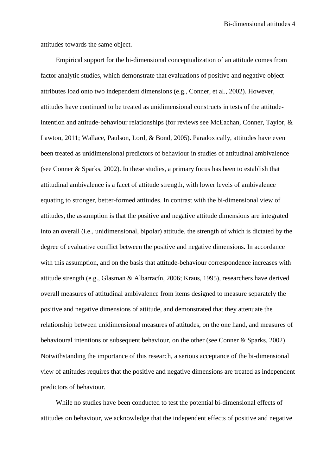attitudes towards the same object.

Empirical support for the bi-dimensional conceptualization of an attitude comes from factor analytic studies, which demonstrate that evaluations of positive and negative objectattributes load onto two independent dimensions (e.g., Conner, et al., 2002). However, attitudes have continued to be treated as unidimensional constructs in tests of the attitudeintention and attitude-behaviour relationships (for reviews see McEachan, Conner, Taylor, & Lawton, 2011; Wallace, Paulson, Lord, & Bond, 2005). Paradoxically, attitudes have even been treated as unidimensional predictors of behaviour in studies of attitudinal ambivalence (see Conner & Sparks, 2002). In these studies, a primary focus has been to establish that attitudinal ambivalence is a facet of attitude strength, with lower levels of ambivalence equating to stronger, better-formed attitudes. In contrast with the bi-dimensional view of attitudes, the assumption is that the positive and negative attitude dimensions are integrated into an overall (i.e., unidimensional, bipolar) attitude, the strength of which is dictated by the degree of evaluative conflict between the positive and negative dimensions. In accordance with this assumption, and on the basis that attitude-behaviour correspondence increases with attitude strength (e.g., Glasman & Albarracín, 2006; Kraus, 1995), researchers have derived overall measures of attitudinal ambivalence from items designed to measure separately the positive and negative dimensions of attitude, and demonstrated that they attenuate the relationship between unidimensional measures of attitudes, on the one hand, and measures of behavioural intentions or subsequent behaviour, on the other (see Conner & Sparks, 2002). Notwithstanding the importance of this research, a serious acceptance of the bi-dimensional view of attitudes requires that the positive and negative dimensions are treated as independent predictors of behaviour.

While no studies have been conducted to test the potential bi-dimensional effects of attitudes on behaviour, we acknowledge that the independent effects of positive and negative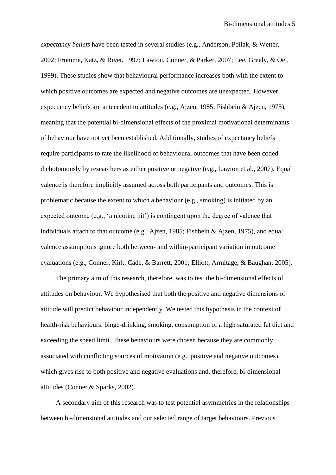*expectancy beliefs* have been tested in several studies (e.g., Anderson, Pollak, & Wetter, 2002; Fromme, Katz, & Rivet, 1997; Lawton, Conner, & Parker, 2007; Lee, Greely, & Oei, 1999). These studies show that behavioural performance increases both with the extent to which positive outcomes are expected and negative outcomes are unexpected. However, expectancy beliefs are antecedent to attitudes (e.g., Ajzen, 1985; Fishbein & Ajzen, 1975), meaning that the potential bi-dimensional effects of the proximal motivational determinants of behaviour have not yet been established. Additionally, studies of expectancy beliefs require participants to rate the likelihood of behavioural outcomes that have been coded dichotomously by researchers as either positive or negative (e.g., Lawton et al., 2007). Equal valence is therefore implicitly assumed across both participants and outcomes. This is problematic because the extent to which a behaviour (e.g., smoking) is initiated by an expected outcome (e.g., 'a nicotine hit') is contingent upon the degree of valence that individuals attach to that outcome (e.g., Ajzen, 1985; Fishbein & Ajzen, 1975), and equal valence assumptions ignore both between- and within-participant variation in outcome evaluations (e.g., Conner, Kirk, Cade, & Barrett, 2001; Elliott, Armitage, & Baughan, 2005).

The primary aim of this research, therefore, was to test the bi-dimensional effects of attitudes on behaviour. We hypothesised that both the positive and negative dimensions of attitude will predict behaviour independently. We tested this hypothesis in the context of health-risk behaviours: binge-drinking, smoking, consumption of a high saturated fat diet and exceeding the speed limit. These behaviours were chosen because they are commonly associated with conflicting sources of motivation (e.g., positive and negative outcomes), which gives rise to both positive and negative evaluations and, therefore, bi-dimensional attitudes (Conner & Sparks, 2002).

A secondary aim of this research was to test potential asymmetries in the relationships between bi-dimensional attitudes and our selected range of target behaviours. Previous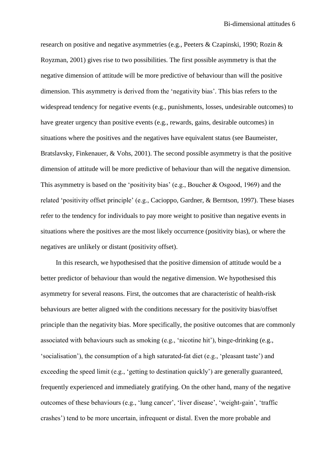research on positive and negative asymmetries (e.g., Peeters & Czapinski, 1990; Rozin & Royzman, 2001) gives rise to two possibilities. The first possible asymmetry is that the negative dimension of attitude will be more predictive of behaviour than will the positive dimension. This asymmetry is derived from the 'negativity bias'. This bias refers to the widespread tendency for negative events (e.g., punishments, losses, undesirable outcomes) to have greater urgency than positive events (e.g., rewards, gains, desirable outcomes) in situations where the positives and the negatives have equivalent status (see Baumeister, Bratslavsky, Finkenauer, & Vohs, 2001). The second possible asymmetry is that the positive dimension of attitude will be more predictive of behaviour than will the negative dimension. This asymmetry is based on the 'positivity bias' (e.g., Boucher & Osgood, 1969) and the related 'positivity offset principle' (e.g., Cacioppo, Gardner, & Berntson, 1997). These biases refer to the tendency for individuals to pay more weight to positive than negative events in situations where the positives are the most likely occurrence (positivity bias), or where the negatives are unlikely or distant (positivity offset).

In this research, we hypothesised that the positive dimension of attitude would be a better predictor of behaviour than would the negative dimension. We hypothesised this asymmetry for several reasons. First, the outcomes that are characteristic of health-risk behaviours are better aligned with the conditions necessary for the positivity bias/offset principle than the negativity bias. More specifically, the positive outcomes that are commonly associated with behaviours such as smoking (e.g., 'nicotine hit'), binge-drinking (e.g., 'socialisation'), the consumption of a high saturated-fat diet (e.g., 'pleasant taste') and exceeding the speed limit (e.g., 'getting to destination quickly') are generally guaranteed, frequently experienced and immediately gratifying. On the other hand, many of the negative outcomes of these behaviours (e.g., 'lung cancer', 'liver disease', 'weight-gain', 'traffic crashes') tend to be more uncertain, infrequent or distal. Even the more probable and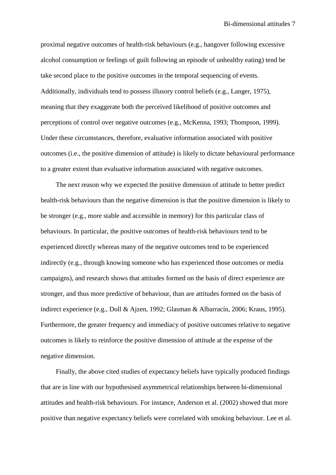proximal negative outcomes of health-risk behaviours (e.g., hangover following excessive alcohol consumption or feelings of guilt following an episode of unhealthy eating) tend be take second place to the positive outcomes in the temporal sequencing of events. Additionally, individuals tend to possess illusory control beliefs (e.g., Langer, 1975), meaning that they exaggerate both the perceived likelihood of positive outcomes and perceptions of control over negative outcomes (e.g., McKenna, 1993; Thompson, 1999). Under these circumstances, therefore, evaluative information associated with positive outcomes (i.e., the positive dimension of attitude) is likely to dictate behavioural performance to a greater extent than evaluative information associated with negative outcomes.

The next reason why we expected the positive dimension of attitude to better predict health-risk behaviours than the negative dimension is that the positive dimension is likely to be stronger (e.g., more stable and accessible in memory) for this particular class of behaviours. In particular, the positive outcomes of health-risk behaviours tend to be experienced directly whereas many of the negative outcomes tend to be experienced indirectly (e.g., through knowing someone who has experienced those outcomes or media campaigns), and research shows that attitudes formed on the basis of direct experience are stronger, and thus more predictive of behaviour, than are attitudes formed on the basis of indirect experience (e.g., Doll & Ajzen, 1992; Glasman & Albarracín, 2006; Kraus, 1995). Furthermore, the greater frequency and immediacy of positive outcomes relative to negative outcomes is likely to reinforce the positive dimension of attitude at the expense of the negative dimension.

Finally, the above cited studies of expectancy beliefs have typically produced findings that are in line with our hypothesised asymmetrical relationships between bi-dimensional attitudes and health-risk behaviours. For instance, Anderson et al. (2002) showed that more positive than negative expectancy beliefs were correlated with smoking behaviour. Lee et al.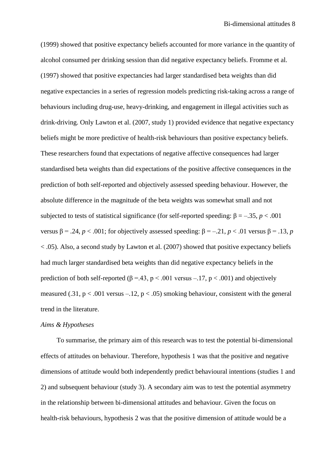(1999) showed that positive expectancy beliefs accounted for more variance in the quantity of alcohol consumed per drinking session than did negative expectancy beliefs. Fromme et al. (1997) showed that positive expectancies had larger standardised beta weights than did negative expectancies in a series of regression models predicting risk-taking across a range of behaviours including drug-use, heavy-drinking, and engagement in illegal activities such as drink-driving. Only Lawton et al. (2007, study 1) provided evidence that negative expectancy beliefs might be more predictive of health-risk behaviours than positive expectancy beliefs. These researchers found that expectations of negative affective consequences had larger standardised beta weights than did expectations of the positive affective consequences in the prediction of both self-reported and objectively assessed speeding behaviour. However, the absolute difference in the magnitude of the beta weights was somewhat small and not subjected to tests of statistical significance (for self-reported speeding:  $\beta = -.35, p < .001$ ) versus  $β = .24$ ,  $p < .001$ ; for objectively assessed speeding:  $β = -.21$ ,  $p < .01$  versus  $β = .13$ ,  $p$ < .05). Also, a second study by Lawton et al. (2007) showed that positive expectancy beliefs had much larger standardised beta weights than did negative expectancy beliefs in the prediction of both self-reported ( $\beta = 43$ ,  $p < .001$  versus -.17,  $p < .001$ ) and objectively measured (.31,  $p < .001$  versus  $-.12$ ,  $p < .05$ ) smoking behaviour, consistent with the general trend in the literature.

## *Aims & Hypotheses*

To summarise, the primary aim of this research was to test the potential bi-dimensional effects of attitudes on behaviour. Therefore, hypothesis 1 was that the positive and negative dimensions of attitude would both independently predict behavioural intentions (studies 1 and 2) and subsequent behaviour (study 3). A secondary aim was to test the potential asymmetry in the relationship between bi-dimensional attitudes and behaviour. Given the focus on health-risk behaviours, hypothesis 2 was that the positive dimension of attitude would be a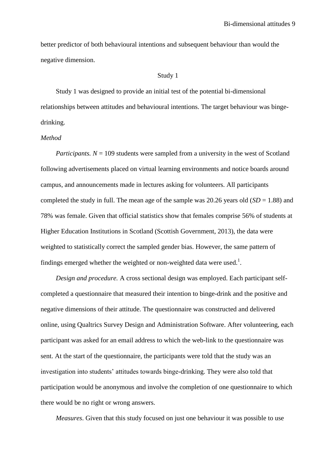better predictor of both behavioural intentions and subsequent behaviour than would the negative dimension.

## Study 1

Study 1 was designed to provide an initial test of the potential bi-dimensional relationships between attitudes and behavioural intentions. The target behaviour was bingedrinking.

## *Method*

*Participants.*  $N = 109$  students were sampled from a university in the west of Scotland following advertisements placed on virtual learning environments and notice boards around campus, and announcements made in lectures asking for volunteers. All participants completed the study in full. The mean age of the sample was 20.26 years old  $(SD = 1.88)$  and 78% was female. Given that official statistics show that females comprise 56% of students at Higher Education Institutions in Scotland (Scottish Government, 2013), the data were weighted to statistically correct the sampled gender bias. However, the same pattern of findings emerged whether the weighted or non-weighted data were used.<sup>1</sup>.

*Design and procedure.* A cross sectional design was employed. Each participant selfcompleted a questionnaire that measured their intention to binge-drink and the positive and negative dimensions of their attitude. The questionnaire was constructed and delivered online, using Qualtrics Survey Design and Administration Software. After volunteering, each participant was asked for an email address to which the web-link to the questionnaire was sent. At the start of the questionnaire, the participants were told that the study was an investigation into students' attitudes towards binge-drinking. They were also told that participation would be anonymous and involve the completion of one questionnaire to which there would be no right or wrong answers.

*Measures*. Given that this study focused on just one behaviour it was possible to use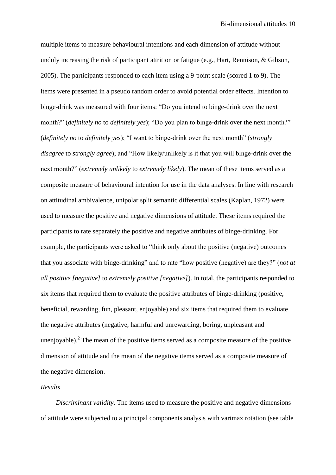multiple items to measure behavioural intentions and each dimension of attitude without unduly increasing the risk of participant attrition or fatigue (e.g., Hart, Rennison, & Gibson, 2005). The participants responded to each item using a 9-point scale (scored 1 to 9). The items were presented in a pseudo random order to avoid potential order effects. Intention to binge-drink was measured with four items: "Do you intend to binge-drink over the next month?" (*definitely no* to *definitely yes*); "Do you plan to binge-drink over the next month?" (*definitely no* to *definitely yes*); "I want to binge-drink over the next month" (*strongly disagree* to *strongly agree*); and "How likely/unlikely is it that you will binge-drink over the next month?" (*extremely unlikely* to *extremely likely*). The mean of these items served as a composite measure of behavioural intention for use in the data analyses. In line with research on attitudinal ambivalence, unipolar split semantic differential scales (Kaplan, 1972) were used to measure the positive and negative dimensions of attitude. These items required the participants to rate separately the positive and negative attributes of binge-drinking. For example, the participants were asked to "think only about the positive (negative) outcomes that you associate with binge-drinking" and to rate "how positive (negative) are they?" (*not at all positive [negative]* to *extremely positive [negative]*). In total, the participants responded to six items that required them to evaluate the positive attributes of binge-drinking (positive, beneficial, rewarding, fun, pleasant, enjoyable) and six items that required them to evaluate the negative attributes (negative, harmful and unrewarding, boring, unpleasant and unenjoyable).<sup>2</sup> The mean of the positive items served as a composite measure of the positive dimension of attitude and the mean of the negative items served as a composite measure of the negative dimension.

# *Results*

*Discriminant validity.* The items used to measure the positive and negative dimensions of attitude were subjected to a principal components analysis with varimax rotation (see table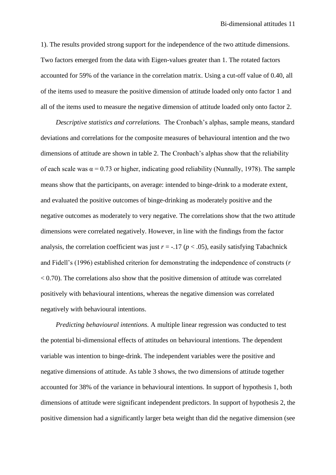1). The results provided strong support for the independence of the two attitude dimensions. Two factors emerged from the data with Eigen-values greater than 1. The rotated factors accounted for 59% of the variance in the correlation matrix. Using a cut-off value of 0.40, all of the items used to measure the positive dimension of attitude loaded only onto factor 1 and all of the items used to measure the negative dimension of attitude loaded only onto factor 2.

*Descriptive statistics and correlations.* The Cronbach's alphas, sample means, standard deviations and correlations for the composite measures of behavioural intention and the two dimensions of attitude are shown in table 2. The Cronbach's alphas show that the reliability of each scale was  $\alpha = 0.73$  or higher, indicating good reliability (Nunnally, 1978). The sample means show that the participants, on average: intended to binge-drink to a moderate extent, and evaluated the positive outcomes of binge-drinking as moderately positive and the negative outcomes as moderately to very negative. The correlations show that the two attitude dimensions were correlated negatively. However, in line with the findings from the factor analysis, the correlation coefficient was just  $r = -.17$  ( $p < .05$ ), easily satisfying Tabachnick and Fidell's (1996) established criterion for demonstrating the independence of constructs (*r*  $< 0.70$ ). The correlations also show that the positive dimension of attitude was correlated positively with behavioural intentions, whereas the negative dimension was correlated negatively with behavioural intentions.

*Predicting behavioural intentions.* A multiple linear regression was conducted to test the potential bi-dimensional effects of attitudes on behavioural intentions. The dependent variable was intention to binge-drink. The independent variables were the positive and negative dimensions of attitude. As table 3 shows, the two dimensions of attitude together accounted for 38% of the variance in behavioural intentions. In support of hypothesis 1, both dimensions of attitude were significant independent predictors. In support of hypothesis 2, the positive dimension had a significantly larger beta weight than did the negative dimension (see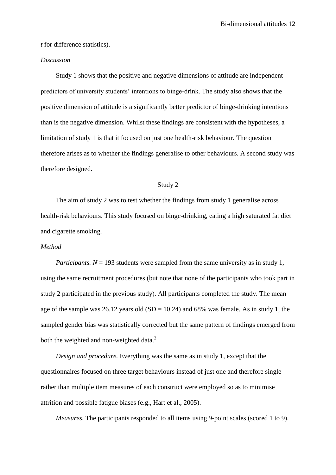*t* for difference statistics).

## *Discussion*

Study 1 shows that the positive and negative dimensions of attitude are independent predictors of university students' intentions to binge-drink. The study also shows that the positive dimension of attitude is a significantly better predictor of binge-drinking intentions than is the negative dimension. Whilst these findings are consistent with the hypotheses, a limitation of study 1 is that it focused on just one health-risk behaviour. The question therefore arises as to whether the findings generalise to other behaviours. A second study was therefore designed.

## Study 2

The aim of study 2 was to test whether the findings from study 1 generalise across health-risk behaviours. This study focused on binge-drinking, eating a high saturated fat diet and cigarette smoking.

# *Method*

*Participants.*  $N = 193$  students were sampled from the same university as in study 1, using the same recruitment procedures (but note that none of the participants who took part in study 2 participated in the previous study). All participants completed the study. The mean age of the sample was  $26.12$  years old (SD = 10.24) and 68% was female. As in study 1, the sampled gender bias was statistically corrected but the same pattern of findings emerged from both the weighted and non-weighted data. $3$ 

*Design and procedure.* Everything was the same as in study 1, except that the questionnaires focused on three target behaviours instead of just one and therefore single rather than multiple item measures of each construct were employed so as to minimise attrition and possible fatigue biases (e.g., Hart et al., 2005).

*Measures.* The participants responded to all items using 9-point scales (scored 1 to 9).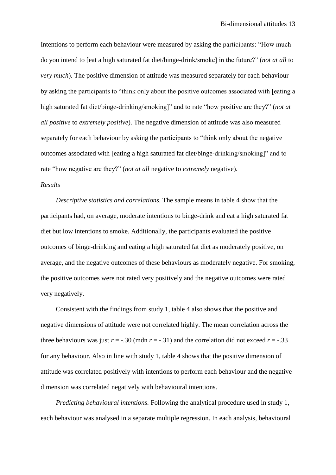Intentions to perform each behaviour were measured by asking the participants: "How much do you intend to [eat a high saturated fat diet/binge-drink/smoke] in the future?" (*not at all* to *very much*). The positive dimension of attitude was measured separately for each behaviour by asking the participants to "think only about the positive outcomes associated with [eating a high saturated fat diet/binge-drinking/smoking]" and to rate "how positive are they?" (*not at all positive* to *extremely positive*). The negative dimension of attitude was also measured separately for each behaviour by asking the participants to "think only about the negative outcomes associated with [eating a high saturated fat diet/binge-drinking/smoking]" and to rate "how negative are they?" (*not at all* negative to *extremely* negative).

# *Results*

*Descriptive statistics and correlations.* The sample means in table 4 show that the participants had, on average, moderate intentions to binge-drink and eat a high saturated fat diet but low intentions to smoke. Additionally, the participants evaluated the positive outcomes of binge-drinking and eating a high saturated fat diet as moderately positive, on average, and the negative outcomes of these behaviours as moderately negative. For smoking, the positive outcomes were not rated very positively and the negative outcomes were rated very negatively.

Consistent with the findings from study 1, table 4 also shows that the positive and negative dimensions of attitude were not correlated highly. The mean correlation across the three behaviours was just  $r = -0.30$  (mdn  $r = -0.31$ ) and the correlation did not exceed  $r = -0.33$ for any behaviour. Also in line with study 1, table 4 shows that the positive dimension of attitude was correlated positively with intentions to perform each behaviour and the negative dimension was correlated negatively with behavioural intentions.

*Predicting behavioural intentions.* Following the analytical procedure used in study 1, each behaviour was analysed in a separate multiple regression. In each analysis, behavioural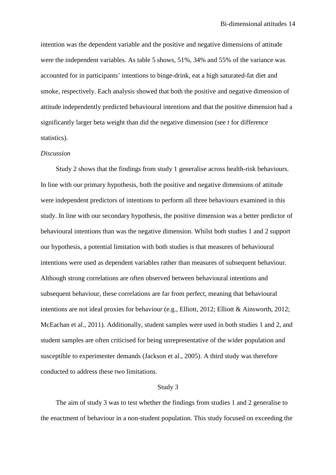intention was the dependent variable and the positive and negative dimensions of attitude were the independent variables. As table 5 shows, 51%, 34% and 55% of the variance was accounted for in participants' intentions to binge-drink, eat a high saturated-fat diet and smoke, respectively. Each analysis showed that both the positive and negative dimension of attitude independently predicted behavioural intentions and that the positive dimension had a significantly larger beta weight than did the negative dimension (see *t* for difference statistics).

#### *Discussion*

Study 2 shows that the findings from study 1 generalise across health-risk behaviours. In line with our primary hypothesis, both the positive and negative dimensions of attitude were independent predictors of intentions to perform all three behaviours examined in this study. In line with our secondary hypothesis, the positive dimension was a better predictor of behavioural intentions than was the negative dimension. Whilst both studies 1 and 2 support our hypothesis, a potential limitation with both studies is that measures of behavioural intentions were used as dependent variables rather than measures of subsequent behaviour. Although strong correlations are often observed between behavioural intentions and subsequent behaviour, these correlations are far from perfect, meaning that behavioural intentions are not ideal proxies for behaviour (e.g., Elliott, 2012; Elliott & Ainsworth, 2012; McEachan et al., 2011). Additionally, student samples were used in both studies 1 and 2, and student samples are often criticised for being unrepresentative of the wider population and susceptible to experimenter demands (Jackson et al., 2005). A third study was therefore conducted to address these two limitations.

## Study 3

The aim of study 3 was to test whether the findings from studies 1 and 2 generalise to the enactment of behaviour in a non-student population. This study focused on exceeding the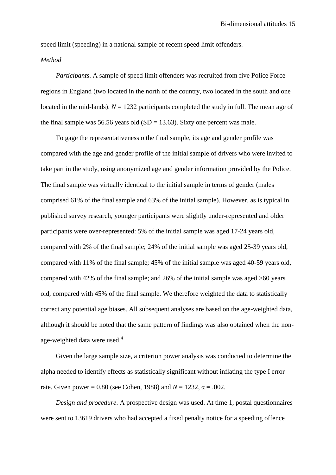speed limit (speeding) in a national sample of recent speed limit offenders.

# *Method*

*Participants*. A sample of speed limit offenders was recruited from five Police Force regions in England (two located in the north of the country, two located in the south and one located in the mid-lands).  $N = 1232$  participants completed the study in full. The mean age of the final sample was 56.56 years old  $(SD = 13.63)$ . Sixty one percent was male.

To gage the representativeness o the final sample, its age and gender profile was compared with the age and gender profile of the initial sample of drivers who were invited to take part in the study, using anonymized age and gender information provided by the Police. The final sample was virtually identical to the initial sample in terms of gender (males comprised 61% of the final sample and 63% of the initial sample). However, as is typical in published survey research, younger participants were slightly under-represented and older participants were over-represented: 5% of the initial sample was aged 17-24 years old, compared with 2% of the final sample; 24% of the initial sample was aged 25-39 years old, compared with 11% of the final sample; 45% of the initial sample was aged 40-59 years old, compared with 42% of the final sample; and 26% of the initial sample was aged >60 years old, compared with 45% of the final sample. We therefore weighted the data to statistically correct any potential age biases. All subsequent analyses are based on the age-weighted data, although it should be noted that the same pattern of findings was also obtained when the nonage-weighted data were used.<sup>4</sup>

Given the large sample size, a criterion power analysis was conducted to determine the alpha needed to identify effects as statistically significant without inflating the type I error rate. Given power = 0.80 (see Cohen, 1988) and  $N = 1232$ ,  $\alpha = .002$ .

*Design and procedure*. A prospective design was used. At time 1, postal questionnaires were sent to 13619 drivers who had accepted a fixed penalty notice for a speeding offence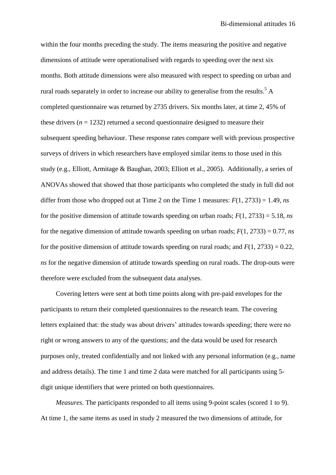within the four months preceding the study. The items measuring the positive and negative dimensions of attitude were operationalised with regards to speeding over the next six months. Both attitude dimensions were also measured with respect to speeding on urban and rural roads separately in order to increase our ability to generalise from the results.<sup>5</sup> A completed questionnaire was returned by 2735 drivers. Six months later, at time 2, 45% of these drivers  $(n = 1232)$  returned a second questionnaire designed to measure their subsequent speeding behaviour. These response rates compare well with previous prospective surveys of drivers in which researchers have employed similar items to those used in this study (e.g., Elliott, Armitage & Baughan, 2003; Elliott et al., 2005). Additionally, a series of ANOVAs showed that showed that those participants who completed the study in full did not differ from those who dropped out at Time 2 on the Time 1 measures: *F*(1, 2733) = 1.49, *ns* for the positive dimension of attitude towards speeding on urban roads; *F*(1, 2733) = 5.18, *ns* for the negative dimension of attitude towards speeding on urban roads;  $F(1, 2733) = 0.77$ , *ns* for the positive dimension of attitude towards speeding on rural roads; and  $F(1, 2733) = 0.22$ , *ns* for the negative dimension of attitude towards speeding on rural roads. The drop-outs were therefore were excluded from the subsequent data analyses.

Covering letters were sent at both time points along with pre-paid envelopes for the participants to return their completed questionnaires to the research team. The covering letters explained that: the study was about drivers' attitudes towards speeding; there were no right or wrong answers to any of the questions; and the data would be used for research purposes only, treated confidentially and not linked with any personal information (e.g., name and address details). The time 1 and time 2 data were matched for all participants using 5 digit unique identifiers that were printed on both questionnaires.

*Measures*. The participants responded to all items using 9-point scales (scored 1 to 9). At time 1, the same items as used in study 2 measured the two dimensions of attitude, for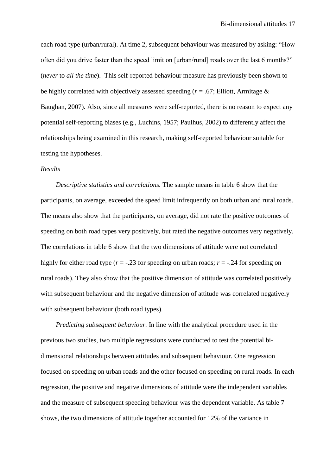each road type (urban/rural). At time 2, subsequent behaviour was measured by asking: "How often did you drive faster than the speed limit on [urban/rural] roads over the last 6 months?" (*never* to *all the time*). This self-reported behaviour measure has previously been shown to be highly correlated with objectively assessed speeding (*r* = .67; Elliott, Armitage & Baughan, 2007). Also, since all measures were self-reported, there is no reason to expect any potential self-reporting biases (e.g., Luchins, 1957; Paulhus, 2002) to differently affect the relationships being examined in this research, making self-reported behaviour suitable for testing the hypotheses.

## *Results*

*Descriptive statistics and correlations.* The sample means in table 6 show that the participants, on average, exceeded the speed limit infrequently on both urban and rural roads. The means also show that the participants, on average, did not rate the positive outcomes of speeding on both road types very positively, but rated the negative outcomes very negatively. The correlations in table 6 show that the two dimensions of attitude were not correlated highly for either road type ( $r = -0.23$  for speeding on urban roads;  $r = -0.24$  for speeding on rural roads). They also show that the positive dimension of attitude was correlated positively with subsequent behaviour and the negative dimension of attitude was correlated negatively with subsequent behaviour (both road types).

*Predicting subsequent behaviour.* In line with the analytical procedure used in the previous two studies, two multiple regressions were conducted to test the potential bidimensional relationships between attitudes and subsequent behaviour. One regression focused on speeding on urban roads and the other focused on speeding on rural roads. In each regression, the positive and negative dimensions of attitude were the independent variables and the measure of subsequent speeding behaviour was the dependent variable. As table 7 shows, the two dimensions of attitude together accounted for 12% of the variance in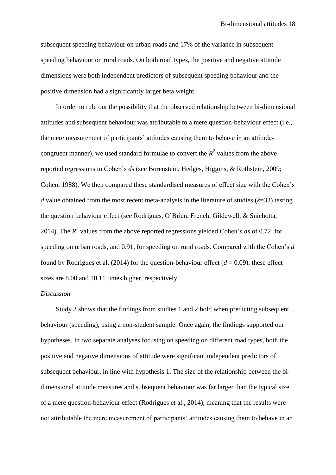subsequent speeding behaviour on urban roads and 17% of the variance in subsequent speeding behaviour on rural roads. On both road types, the positive and negative attitude dimensions were both independent predictors of subsequent speeding behaviour and the positive dimension had a significantly larger beta weight.

In order to rule out the possibility that the observed relationship between bi-dimensional attitudes and subsequent behaviour was attributable to a mere question-behaviour effect (i.e., the mere measurement of participants' attitudes causing them to behave in an attitudecongruent manner), we used standard formulae to convert the  $R^2$  values from the above reported regressions to Cohen's *d*s (see Borenstein, Hedges, Higgins, & Rothstein, 2009; Cohen, 1988). We then compared these standardised measures of effect size with the Cohen's *d* value obtained from the most recent meta-analysis in the literature of studies (*k*=33) testing the question behaviour effect (see Rodrigues, O'Brien, French, Gildewell, & Sniehotta, 2014). The  $R^2$  values from the above reported regressions yielded Cohen's *ds* of 0.72, for speeding on urban roads, and 0.91, for speeding on rural roads. Compared with the Cohen's *d* found by Rodrigues et al. (2014) for the question-behaviour effect  $(d = 0.09)$ , these effect sizes are 8.00 and 10.11 times higher, respectively.

# *Discussion*

Study 3 shows that the findings from studies 1 and 2 hold when predicting subsequent behaviour (speeding), using a non-student sample. Once again, the findings supported our hypotheses. In two separate analyses focusing on speeding on different road types, both the positive and negative dimensions of attitude were significant independent predictors of subsequent behaviour, in line with hypothesis 1. The size of the relationship between the bidimensional attitude measures and subsequent behaviour was far larger than the typical size of a mere question-behaviour effect (Rodrigues et al., 2014), meaning that the results were not attributable the mere measurement of participants' attitudes causing them to behave in an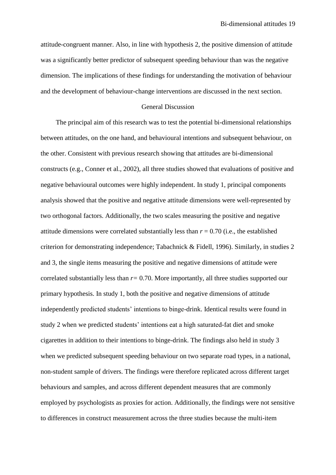attitude-congruent manner. Also, in line with hypothesis 2, the positive dimension of attitude was a significantly better predictor of subsequent speeding behaviour than was the negative dimension. The implications of these findings for understanding the motivation of behaviour and the development of behaviour-change interventions are discussed in the next section.

## General Discussion

The principal aim of this research was to test the potential bi-dimensional relationships between attitudes, on the one hand, and behavioural intentions and subsequent behaviour, on the other. Consistent with previous research showing that attitudes are bi-dimensional constructs (e.g., Conner et al., 2002), all three studies showed that evaluations of positive and negative behavioural outcomes were highly independent. In study 1, principal components analysis showed that the positive and negative attitude dimensions were well-represented by two orthogonal factors. Additionally, the two scales measuring the positive and negative attitude dimensions were correlated substantially less than  $r = 0.70$  (i.e., the established criterion for demonstrating independence; Tabachnick & Fidell, 1996). Similarly, in studies 2 and 3, the single items measuring the positive and negative dimensions of attitude were correlated substantially less than *r=* 0.70. More importantly, all three studies supported our primary hypothesis. In study 1, both the positive and negative dimensions of attitude independently predicted students' intentions to binge-drink. Identical results were found in study 2 when we predicted students' intentions eat a high saturated-fat diet and smoke cigarettes in addition to their intentions to binge-drink. The findings also held in study 3 when we predicted subsequent speeding behaviour on two separate road types, in a national, non-student sample of drivers. The findings were therefore replicated across different target behaviours and samples, and across different dependent measures that are commonly employed by psychologists as proxies for action. Additionally, the findings were not sensitive to differences in construct measurement across the three studies because the multi-item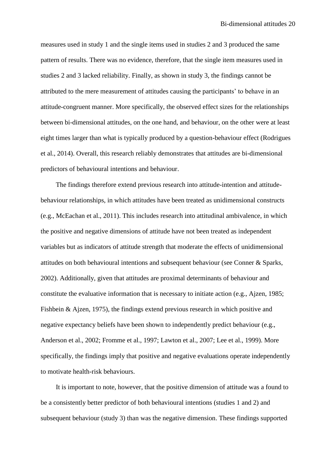measures used in study 1 and the single items used in studies 2 and 3 produced the same pattern of results. There was no evidence, therefore, that the single item measures used in studies 2 and 3 lacked reliability. Finally, as shown in study 3, the findings cannot be attributed to the mere measurement of attitudes causing the participants' to behave in an attitude-congruent manner. More specifically, the observed effect sizes for the relationships between bi-dimensional attitudes, on the one hand, and behaviour, on the other were at least eight times larger than what is typically produced by a question-behaviour effect (Rodrigues et al., 2014). Overall, this research reliably demonstrates that attitudes are bi-dimensional predictors of behavioural intentions and behaviour.

The findings therefore extend previous research into attitude-intention and attitudebehaviour relationships, in which attitudes have been treated as unidimensional constructs (e.g., McEachan et al., 2011). This includes research into attitudinal ambivalence, in which the positive and negative dimensions of attitude have not been treated as independent variables but as indicators of attitude strength that moderate the effects of unidimensional attitudes on both behavioural intentions and subsequent behaviour (see Conner & Sparks, 2002). Additionally, given that attitudes are proximal determinants of behaviour and constitute the evaluative information that is necessary to initiate action (e.g., Ajzen, 1985; Fishbein & Ajzen, 1975), the findings extend previous research in which positive and negative expectancy beliefs have been shown to independently predict behaviour (e.g., Anderson et al., 2002; Fromme et al., 1997; Lawton et al., 2007; Lee et al., 1999). More specifically, the findings imply that positive and negative evaluations operate independently to motivate health-risk behaviours.

It is important to note, however, that the positive dimension of attitude was a found to be a consistently better predictor of both behavioural intentions (studies 1 and 2) and subsequent behaviour (study 3) than was the negative dimension. These findings supported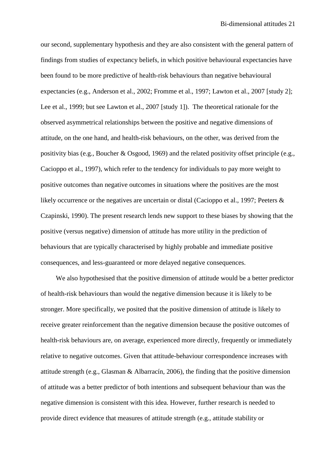our second, supplementary hypothesis and they are also consistent with the general pattern of findings from studies of expectancy beliefs, in which positive behavioural expectancies have been found to be more predictive of health-risk behaviours than negative behavioural expectancies (e.g., Anderson et al., 2002; Fromme et al., 1997; Lawton et al., 2007 [study 2]; Lee et al., 1999; but see Lawton et al., 2007 [study 1]). The theoretical rationale for the observed asymmetrical relationships between the positive and negative dimensions of attitude, on the one hand, and health-risk behaviours, on the other, was derived from the positivity bias (e.g., Boucher & Osgood, 1969) and the related positivity offset principle (e.g., Cacioppo et al., 1997), which refer to the tendency for individuals to pay more weight to positive outcomes than negative outcomes in situations where the positives are the most likely occurrence or the negatives are uncertain or distal (Cacioppo et al., 1997; Peeters & Czapinski, 1990). The present research lends new support to these biases by showing that the positive (versus negative) dimension of attitude has more utility in the prediction of behaviours that are typically characterised by highly probable and immediate positive consequences, and less-guaranteed or more delayed negative consequences.

We also hypothesised that the positive dimension of attitude would be a better predictor of health-risk behaviours than would the negative dimension because it is likely to be stronger. More specifically, we posited that the positive dimension of attitude is likely to receive greater reinforcement than the negative dimension because the positive outcomes of health-risk behaviours are, on average, experienced more directly, frequently or immediately relative to negative outcomes. Given that attitude-behaviour correspondence increases with attitude strength (e.g., Glasman & Albarracín, 2006), the finding that the positive dimension of attitude was a better predictor of both intentions and subsequent behaviour than was the negative dimension is consistent with this idea. However, further research is needed to provide direct evidence that measures of attitude strength (e.g., attitude stability or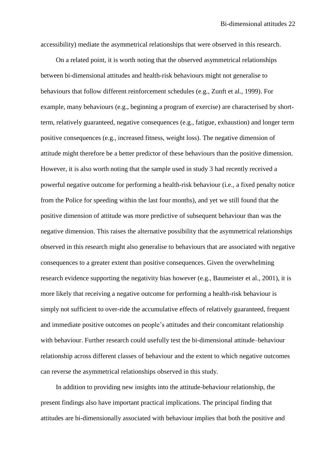accessibility) mediate the asymmetrical relationships that were observed in this research.

On a related point, it is worth noting that the observed asymmetrical relationships between bi-dimensional attitudes and health-risk behaviours might not generalise to behaviours that follow different reinforcement schedules (e.g., Zunft et al., 1999). For example, many behaviours (e.g., beginning a program of exercise) are characterised by shortterm, relatively guaranteed, negative consequences (e.g., fatigue, exhaustion) and longer term positive consequences (e.g., increased fitness, weight loss). The negative dimension of attitude might therefore be a better predictor of these behaviours than the positive dimension. However, it is also worth noting that the sample used in study 3 had recently received a powerful negative outcome for performing a health-risk behaviour (i.e., a fixed penalty notice from the Police for speeding within the last four months), and yet we still found that the positive dimension of attitude was more predictive of subsequent behaviour than was the negative dimension. This raises the alternative possibility that the asymmetrical relationships observed in this research might also generalise to behaviours that are associated with negative consequences to a greater extent than positive consequences. Given the overwhelming research evidence supporting the negativity bias however (e.g., Baumeister et al., 2001), it is more likely that receiving a negative outcome for performing a health-risk behaviour is simply not sufficient to over-ride the accumulative effects of relatively guaranteed, frequent and immediate positive outcomes on people's attitudes and their concomitant relationship with behaviour. Further research could usefully test the bi-dimensional attitude–behaviour relationship across different classes of behaviour and the extent to which negative outcomes can reverse the asymmetrical relationships observed in this study.

In addition to providing new insights into the attitude-behaviour relationship, the present findings also have important practical implications. The principal finding that attitudes are bi-dimensionally associated with behaviour implies that both the positive and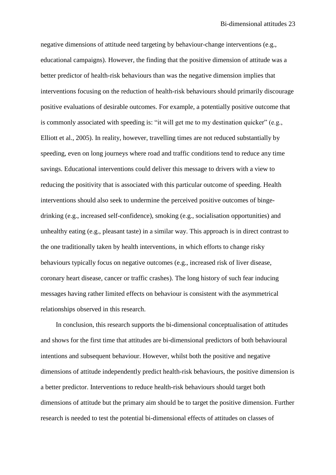negative dimensions of attitude need targeting by behaviour-change interventions (e.g., educational campaigns). However, the finding that the positive dimension of attitude was a better predictor of health-risk behaviours than was the negative dimension implies that interventions focusing on the reduction of health-risk behaviours should primarily discourage positive evaluations of desirable outcomes. For example, a potentially positive outcome that is commonly associated with speeding is: "it will get me to my destination quicker" (e.g., Elliott et al., 2005). In reality, however, travelling times are not reduced substantially by speeding, even on long journeys where road and traffic conditions tend to reduce any time savings. Educational interventions could deliver this message to drivers with a view to reducing the positivity that is associated with this particular outcome of speeding. Health interventions should also seek to undermine the perceived positive outcomes of bingedrinking (e.g., increased self-confidence), smoking (e.g., socialisation opportunities) and unhealthy eating (e.g., pleasant taste) in a similar way. This approach is in direct contrast to the one traditionally taken by health interventions, in which efforts to change risky behaviours typically focus on negative outcomes (e.g., increased risk of liver disease, coronary heart disease, cancer or traffic crashes). The long history of such fear inducing messages having rather limited effects on behaviour is consistent with the asymmetrical relationships observed in this research.

In conclusion, this research supports the bi-dimensional conceptualisation of attitudes and shows for the first time that attitudes are bi-dimensional predictors of both behavioural intentions and subsequent behaviour. However, whilst both the positive and negative dimensions of attitude independently predict health-risk behaviours, the positive dimension is a better predictor. Interventions to reduce health-risk behaviours should target both dimensions of attitude but the primary aim should be to target the positive dimension. Further research is needed to test the potential bi-dimensional effects of attitudes on classes of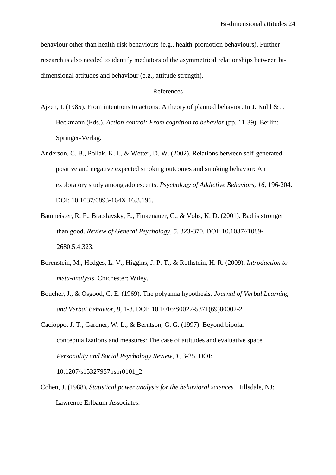behaviour other than health-risk behaviours (e.g., health-promotion behaviours). Further research is also needed to identify mediators of the asymmetrical relationships between bidimensional attitudes and behaviour (e.g., attitude strength).

### References

- Ajzen, I. (1985). From intentions to actions: A theory of planned behavior. In J. Kuhl & J. Beckmann (Eds.), *Action control: From cognition to behavior* (pp. 11-39). Berlin: Springer-Verlag.
- Anderson, C. B., Pollak, K. I., & Wetter, D. W. (2002). Relations between self-generated positive and negative expected smoking outcomes and smoking behavior: An exploratory study among adolescents. *Psychology of Addictive Behaviors, 16*, 196-204. DOI: 10.1037/0893-164X.16.3.196.
- Baumeister, R. F., Bratslavsky, E., Finkenauer, C., & Vohs, K. D. (2001). Bad is stronger than good. *Review of General Psychology, 5*, 323-370. DOI: 10.1037//1089- 2680.5.4.323.
- Borenstein, M., Hedges, L. V., Higgins, J. P. T., & Rothstein, H. R. (2009). *Introduction to meta-analysis*. Chichester: Wiley.
- Boucher, J., & Osgood, C. E. (1969). The polyanna hypothesis. *Journal of Verbal Learning and Verbal Behavior, 8*, 1-8. DOI: 10.1016/S0022-5371(69)80002-2

Cacioppo, J. T., Gardner, W. L., & Berntson, G. G. (1997). Beyond bipolar conceptualizations and measures: The case of attitudes and evaluative space. *Personality and Social Psychology Review, 1*, 3-25. DOI: 10.1207/s15327957pspr0101\_2.

Cohen, J. (1988). *Statistical power analysis for the behavioral sciences.* Hillsdale, NJ: Lawrence Erlbaum Associates.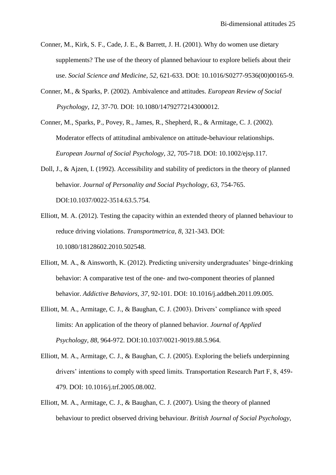- Conner, M., Kirk, S. F., Cade, J. E., & Barrett, J. H. (2001). Why do women use dietary supplements? The use of the theory of planned behaviour to explore beliefs about their use. *Social Science and Medicine, 52,* 621-633. DOI: 10.1016/S0277-9536(00)00165-9.
- Conner, M., & Sparks, P. (2002). Ambivalence and attitudes. *European Review of Social Psychology, 12*, 37-70. DOI: 10.1080/14792772143000012.
- Conner, M., Sparks, P., Povey, R., James, R., Shepherd, R., & Armitage, C. J. (2002). Moderator effects of attitudinal ambivalence on attitude-behaviour relationships. *European Journal of Social Psychology, 32*, 705-718. DOI: 10.1002/ejsp.117.
- Doll, J., & Ajzen, I. (1992). Accessibility and stability of predictors in the theory of planned behavior. *Journal of Personality and Social Psychology, 63*, 754-765. DOI:10.1037/0022-3514.63.5.754.
- Elliott, M. A. (2012). Testing the capacity within an extended theory of planned behaviour to reduce driving violations. *Transportmetrica, 8*, 321-343. DOI: 10.1080/18128602.2010.502548.
- Elliott, M. A., & Ainsworth, K. (2012). Predicting university undergraduates' binge-drinking behavior: A comparative test of the one- and two-component theories of planned behavior. *Addictive Behaviors, 37*, 92-101. DOI: 10.1016/j.addbeh.2011.09.005.
- Elliott, M. A., Armitage, C. J., & Baughan, C. J. (2003). Drivers' compliance with speed limits: An application of the theory of planned behavior. *Journal of Applied Psychology, 88*, 964-972. DOI:10.1037/0021-9019.88.5.964.
- Elliott, M. A., Armitage, C. J., & Baughan, C. J. (2005). Exploring the beliefs underpinning drivers' intentions to comply with speed limits. Transportation Research Part F, 8, 459- 479. DOI: 10.1016/j.trf.2005.08.002.
- Elliott, M. A., Armitage, C. J., & Baughan, C. J. (2007). Using the theory of planned behaviour to predict observed driving behaviour. *British Journal of Social Psychology,*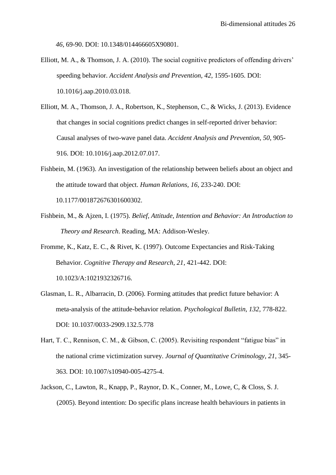*46*, 69-90. DOI: 10.1348/014466605X90801.

- Elliott, M. A., & Thomson, J. A. (2010). The social cognitive predictors of offending drivers' speeding behavior. *Accident Analysis and Prevention, 42*, 1595-1605. DOI: 10.1016/j.aap.2010.03.018.
- Elliott, M. A., Thomson, J. A., Robertson, K., Stephenson, C., & Wicks, J. (2013). Evidence that changes in social cognitions predict changes in self-reported driver behavior: Causal analyses of two-wave panel data. *Accident Analysis and Prevention, 50*, 905- 916. DOI: 10.1016/j.aap.2012.07.017.
- Fishbein, M. (1963). An investigation of the relationship between beliefs about an object and the attitude toward that object. *Human Relations, 16*, 233-240. DOI: 10.1177/001872676301600302.
- Fishbein, M., & Ajzen, I. (1975). *Belief, Attitude, Intention and Behavior: An Introduction to Theory and Research*. Reading, MA: Addison-Wesley.
- Fromme, K., Katz, E. C., & Rivet, K. (1997). Outcome Expectancies and Risk-Taking Behavior. *Cognitive Therapy and Research, 21*, 421-442. DOI: 10.1023/A:1021932326716.
- Glasman, L. R., Albarracin, D. (2006). Forming attitudes that predict future behavior: A meta-analysis of the attitude-behavior relation. *Psychological Bulletin, 132*, 778-822. DOI: 10.1037/0033-2909.132.5.778
- Hart, T. C., Rennison, C. M., & Gibson, C. (2005). Revisiting respondent "fatigue bias" in the national crime victimization survey. *Journal of Quantitative Criminology, 21*, 345- 363. DOI: 10.1007/s10940-005-4275-4.
- Jackson, C., Lawton, R., Knapp, P., Raynor, D. K., Conner, M., Lowe, C, & Closs, S. J. (2005). Beyond intention: Do specific plans increase health behaviours in patients in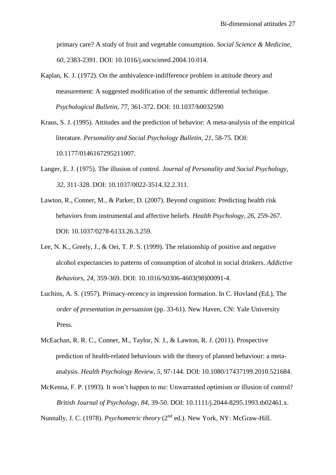primary care? A study of fruit and vegetable consumption. *Social Science & Medicine, 60*, 2383-2391. DOI: 10.1016/j.socscimed.2004.10.014.

- Kaplan, K. J. (1972). On the ambivalence-indifference problem in attitude theory and measurement: A suggested modification of the semantic differential technique. *Psychological Bulletin, 77*, 361-372. DOI: 10.1037/h0032590
- Kraus, S. J. (1995). Attitudes and the prediction of behavior: A meta-analysis of the empirical literature. *Personality and Social Psychology Bulletin, 21*, 58-75. DOI: 10.1177/0146167295211007.
- Langer, E. J. (1975). The illusion of control. *Journal of Personality and Social Psychology, 32*, 311-328. DOI: 10.1037/0022-3514.32.2.311.
- Lawton, R., Conner, M., & Parker, D. (2007). Beyond cognition: Predicting health risk behaviors from instrumental and affective beliefs. *Health Psychology, 26*, 259-267. DOI: 10.1037/0278-6133.26.3.259.
- Lee, N. K., Greely, J., & Oei, T. P. S. (1999). The relationship of positive and negative alcohol expectancies to patterns of consumption of alcohol in social drinkers. *Addictive Behaviors, 24*, 359-369. DOI: 10.1016/S0306-4603(98)00091-4.
- Luchins, A. S. (1957). Primacy-recency in impression formation. In C. Hovland (Ed.), The *order of presentation in persuasion* (pp. 33-61). New Haven, CN: Yale University Press.
- McEachan, R. R. C., Conner, M., Taylor, N. J., & Lawton, R. J. (2011). Prospective prediction of health-related behaviours with the theory of planned behaviour: a metaanalysis. *Health Psychology Review, 5*, 97-144. DOI: 10.1080/17437199.2010.521684.
- McKenna, F. P. (1993). It won't happen to me: Unwarranted optimism or illusion of control? *British Journal of Psychology, 84*, 39-50. DOI: 10.1111/j.2044-8295.1993.tb02461.x.

Nunnally, J. C. (1978). *Psychometric theory* (2<sup>nd</sup> ed.). New York, NY: McGraw-Hill.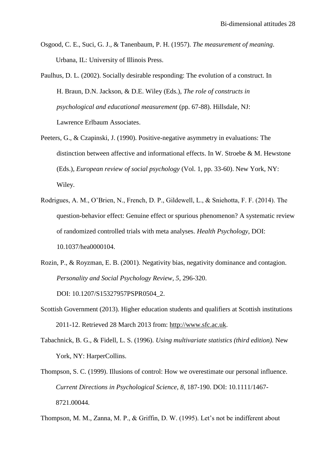- Osgood, C. E., Suci, G. J., & Tanenbaum, P. H. (1957). *The measurement of meaning*. Urbana, IL: University of Illinois Press.
- Paulhus, D. L. (2002). Socially desirable responding: The evolution of a construct. In H. Braun, D.N. Jackson, & D.E. Wiley (Eds.), *The role of constructs in psychological and educational measurement* (pp. 67-88). Hillsdale, NJ: Lawrence Erlbaum Associates.
- Peeters, G., & Czapinski, J. (1990). Positive-negative asymmetry in evaluations: The distinction between affective and informational effects. In W. Stroebe & M. Hewstone (Eds.), *European review of social psychology* (Vol. 1, pp. 33-60). New York, NY: Wiley.
- Rodrigues, A. M., O'Brien, N., French, D. P., Gildewell, L., & Sniehotta, F. F. (2014). The question-behavior effect: Genuine effect or spurious phenomenon? A systematic review of randomized controlled trials with meta analyses. *Health Psychology*, DOI: 10.1037/hea0000104.
- Rozin, P., & Royzman, E. B. (2001). Negativity bias, negativity dominance and contagion. *Personality and Social Psychology Review, 5*, 296-320.

DOI: 10.1207/S15327957PSPR0504\_2.

- Scottish Government (2013). Higher education students and qualifiers at Scottish institutions 2011-12. Retrieved 28 March 2013 from: [http://www.sfc.ac.uk.](http://www.sfc.ac.uk/)
- Tabachnick, B. G., & Fidell, L. S. (1996). *Using multivariate statistics (third edition).* New York, NY: HarperCollins.
- Thompson, S. C. (1999). Illusions of control: How we overestimate our personal influence. *Current Directions in Psychological Science, 8*, 187-190. DOI: 10.1111/1467- 8721.00044.

Thompson, M. M., Zanna, M. P., & Griffin, D. W. (1995). Let's not be indifferent about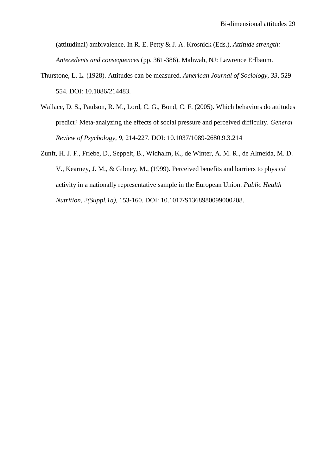(attitudinal) ambivalence. In R. E. Petty & J. A. Krosnick (Eds.), *Attitude strength: Antecedents and consequences* (pp. 361-386). Mahwah, NJ: Lawrence Erlbaum.

- Thurstone, L. L. (1928). Attitudes can be measured. *American Journal of Sociology, 33*, 529- 554. DOI: 10.1086/214483.
- Wallace, D. S., Paulson, R. M., Lord, C. G., Bond, C. F. (2005). Which behaviors do attitudes predict? Meta-analyzing the effects of social pressure and perceived difficulty. *General Review of Psychology, 9*, 214-227. DOI: 10.1037/1089-2680.9.3.214
- Zunft, H. J. F., Friebe, D., Seppelt, B., Widhalm, K., de Winter, A. M. R., de Almeida, M. D. V., Kearney, J. M., & Gibney, M., (1999). Perceived benefits and barriers to physical activity in a nationally representative sample in the European Union. *Public Health Nutrition, 2(Suppl.1a)*, 153-160. DOI: 10.1017/S1368980099000208.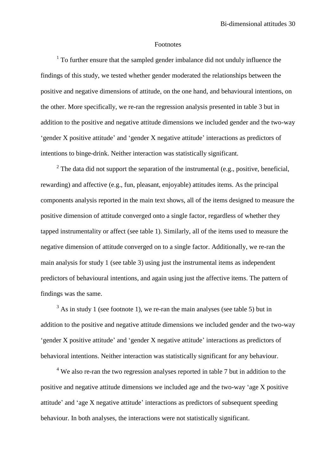#### Footnotes

 $1$  To further ensure that the sampled gender imbalance did not unduly influence the findings of this study, we tested whether gender moderated the relationships between the positive and negative dimensions of attitude, on the one hand, and behavioural intentions, on the other. More specifically, we re-ran the regression analysis presented in table 3 but in addition to the positive and negative attitude dimensions we included gender and the two-way 'gender X positive attitude' and 'gender X negative attitude' interactions as predictors of intentions to binge-drink. Neither interaction was statistically significant.

<sup>2</sup> The data did not support the separation of the instrumental (e.g., positive, beneficial, rewarding) and affective (e.g., fun, pleasant, enjoyable) attitudes items. As the principal components analysis reported in the main text shows, all of the items designed to measure the positive dimension of attitude converged onto a single factor, regardless of whether they tapped instrumentality or affect (see table 1). Similarly, all of the items used to measure the negative dimension of attitude converged on to a single factor. Additionally, we re-ran the main analysis for study 1 (see table 3) using just the instrumental items as independent predictors of behavioural intentions, and again using just the affective items. The pattern of findings was the same.

 $3$  As in study 1 (see footnote 1), we re-ran the main analyses (see table 5) but in addition to the positive and negative attitude dimensions we included gender and the two-way 'gender X positive attitude' and 'gender X negative attitude' interactions as predictors of behavioral intentions. Neither interaction was statistically significant for any behaviour.

<sup>4</sup> We also re-ran the two regression analyses reported in table 7 but in addition to the positive and negative attitude dimensions we included age and the two-way 'age X positive attitude' and 'age X negative attitude' interactions as predictors of subsequent speeding behaviour. In both analyses, the interactions were not statistically significant.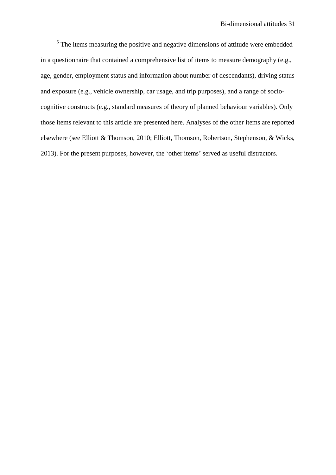<sup>5</sup> The items measuring the positive and negative dimensions of attitude were embedded in a questionnaire that contained a comprehensive list of items to measure demography (e.g., age, gender, employment status and information about number of descendants), driving status and exposure (e.g., vehicle ownership, car usage, and trip purposes), and a range of sociocognitive constructs (e.g., standard measures of theory of planned behaviour variables). Only those items relevant to this article are presented here. Analyses of the other items are reported elsewhere (see Elliott & Thomson, 2010; Elliott, Thomson, Robertson, Stephenson, & Wicks, 2013). For the present purposes, however, the 'other items' served as useful distractors.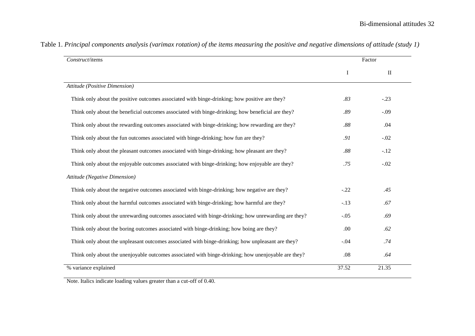| Construct/items                                                                                     |         | Factor       |  |  |
|-----------------------------------------------------------------------------------------------------|---------|--------------|--|--|
|                                                                                                     | I       | $\mathbf{I}$ |  |  |
| Attitude (Positive Dimension)                                                                       |         |              |  |  |
| Think only about the positive outcomes associated with binge-drinking; how positive are they?       | .83     | $-.23$       |  |  |
| Think only about the beneficial outcomes associated with binge-drinking; how beneficial are they?   | .89     | $-.09$       |  |  |
| Think only about the rewarding outcomes associated with binge-drinking; how rewarding are they?     | $.88\,$ | .04          |  |  |
| Think only about the fun outcomes associated with binge-drinking; how fun are they?                 | .91     | $-.02$       |  |  |
| Think only about the pleasant outcomes associated with binge-drinking; how pleasant are they?       | .88     | $-.12$       |  |  |
| Think only about the enjoyable outcomes associated with binge-drinking; how enjoyable are they?     | .75     | $-.02$       |  |  |
| Attitude (Negative Dimension)                                                                       |         |              |  |  |
| Think only about the negative outcomes associated with binge-drinking; how negative are they?       | $-.22$  | .45          |  |  |
| Think only about the harmful outcomes associated with binge-drinking; how harmful are they?         | $-.13$  | .67          |  |  |
| Think only about the unrewarding outcomes associated with binge-drinking; how unrewarding are they? | $-.05$  | .69          |  |  |
| Think only about the boring outcomes associated with binge-drinking; how boing are they?            | .00     | .62          |  |  |
| Think only about the unpleasant outcomes associated with binge-drinking; how unpleasant are they?   | $-.04$  | .74          |  |  |
| Think only about the unenjoyable outcomes associated with binge-drinking; how unenjoyable are they? | .08     | .64          |  |  |
| % variance explained                                                                                | 37.52   | 21.35        |  |  |

| Table 1. Principal components analysis (varimax rotation) of the items measuring the positive and negative dimensions of attitude (study 1) |  |  |
|---------------------------------------------------------------------------------------------------------------------------------------------|--|--|
|---------------------------------------------------------------------------------------------------------------------------------------------|--|--|

Note. Italics indicate loading values greater than a cut-off of 0.40.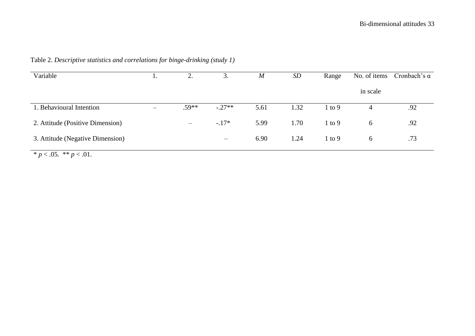| Variable                                     | . . | ◠<br>۷.                  | 3.       | $\boldsymbol{M}$ | SD   | Range             | No. of items | Cronbach's $\alpha$ |
|----------------------------------------------|-----|--------------------------|----------|------------------|------|-------------------|--------------|---------------------|
|                                              |     |                          |          |                  |      |                   | in scale     |                     |
| 1. Behavioural Intention                     |     | $.59**$                  | $-.27**$ | 5.61             | 1.32 | $1 \text{ to } 9$ |              | .92                 |
| 2. Attitude (Positive Dimension)             |     | $\overline{\phantom{m}}$ | $-.17*$  | 5.99             | 1.70 | $1$ to $9$        | 6            | .92                 |
| 3. Attitude (Negative Dimension)             |     |                          |          | 6.90             | 1.24 | $1$ to $9$        | 6            | .73                 |
| $\psi$ . $\Delta E$ $\psi \psi$ . $\Delta 1$ |     |                          |          |                  |      |                   |              |                     |

Table 2. *Descriptive statistics and correlations for binge-drinking (study 1)*

\*  $p < .05$ . \*\*  $p < .01$ .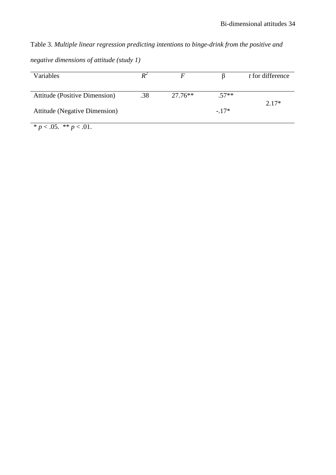Table 3. *Multiple linear regression predicting intentions to binge-drink from the positive and negative dimensions of attitude (study 1)*

| Variables                            |     | F         |         | t for difference |
|--------------------------------------|-----|-----------|---------|------------------|
|                                      |     |           |         |                  |
| <b>Attitude (Positive Dimension)</b> | .38 | $27.76**$ | $.57**$ |                  |
|                                      |     |           |         | $2.17*$          |
| <b>Attitude</b> (Negative Dimension) |     |           | $-17*$  |                  |
|                                      |     |           |         |                  |

 $\overline{\qquad \qquad \ast p < .05. \ \ast \ast p < .01.}$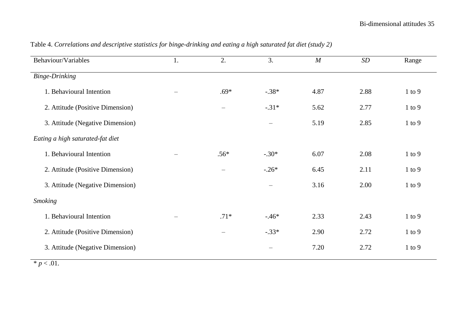| Behaviour/Variables              | 1. | 2.                       | 3.                             | $\boldsymbol{M}$ | $\boldsymbol{SD}$ | Range      |
|----------------------------------|----|--------------------------|--------------------------------|------------------|-------------------|------------|
| <b>Binge-Drinking</b>            |    |                          |                                |                  |                   |            |
| 1. Behavioural Intention         |    | $.69*$                   | $-.38*$                        | 4.87             | 2.88              | $1$ to $9$ |
| 2. Attitude (Positive Dimension) |    | $\qquad \qquad -$        | $-.31*$                        | 5.62             | 2.77              | $1$ to $9$ |
| 3. Attitude (Negative Dimension) |    |                          | $\qquad \qquad -$              | 5.19             | 2.85              | $1$ to $9$ |
| Eating a high saturated-fat diet |    |                          |                                |                  |                   |            |
| 1. Behavioural Intention         |    | $.56*$                   | $-.30*$                        | 6.07             | 2.08              | $1$ to $9$ |
| 2. Attitude (Positive Dimension) |    | $\overline{\phantom{0}}$ | $-.26*$                        | 6.45             | 2.11              | $1$ to $9$ |
| 3. Attitude (Negative Dimension) |    |                          | $\qquad \qquad -$              | 3.16             | 2.00              | $1$ to $9$ |
| <b>Smoking</b>                   |    |                          |                                |                  |                   |            |
| 1. Behavioural Intention         |    | $.71*$                   | $-.46*$                        | 2.33             | 2.43              | $1$ to $9$ |
| 2. Attitude (Positive Dimension) |    | $\qquad \qquad -$        | $-.33*$                        | 2.90             | 2.72              | $1$ to $9$ |
| 3. Attitude (Negative Dimension) |    |                          | $\qquad \qquad \longleftarrow$ | 7.20             | 2.72              | $1$ to $9$ |

# Table 4. *Correlations and descriptive statistics for binge-drinking and eating a high saturated fat diet (study 2)*

 $* p < .01.$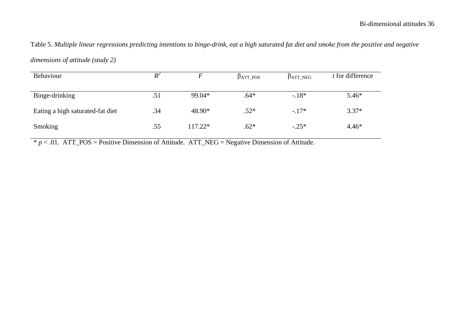# Table 5. *Multiple linear regressions predicting intentions to binge-drink, eat a high saturated fat diet and smoke from the positive and negative*

| Behaviour                        | $R^2$ |         | $\beta_{ATT\_POS}$ | $\beta_{ATT\_NEG}$ | t for difference |
|----------------------------------|-------|---------|--------------------|--------------------|------------------|
| Binge-drinking                   | .51   | 99.04*  | $.64*$             | $-.18*$            | $5.46*$          |
| Eating a high saturated-fat diet | .34   | 48.90*  | $.52*$             | $-.17*$            | $3.37*$          |
| Smoking                          | .55   | 117.22* | $.62*$             | $-.25*$            | $4.46*$          |

*dimensions of attitude (study 2)*

 $* p < .01$ . ATT\_POS = Positive Dimension of Attitude. ATT\_NEG = Negative Dimension of Attitude.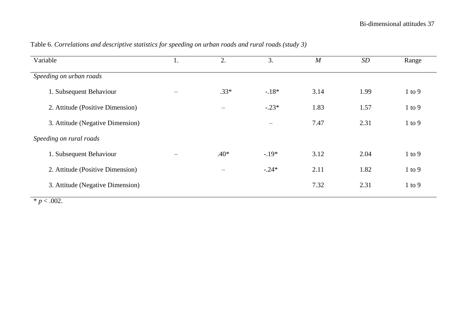| Variable                         | 1. | 2.                       | 3.                | M    | SD   | Range      |
|----------------------------------|----|--------------------------|-------------------|------|------|------------|
| Speeding on urban roads          |    |                          |                   |      |      |            |
| 1. Subsequent Behaviour          |    | $.33*$                   | $-.18*$           | 3.14 | 1.99 | $1$ to $9$ |
| 2. Attitude (Positive Dimension) |    | $\overline{\phantom{0}}$ | $-.23*$           | 1.83 | 1.57 | $1$ to $9$ |
| 3. Attitude (Negative Dimension) |    |                          | $\hspace{0.05cm}$ | 7.47 | 2.31 | $1$ to $9$ |
| Speeding on rural roads          |    |                          |                   |      |      |            |
| 1. Subsequent Behaviour          |    | $.40*$                   | $-.19*$           | 3.12 | 2.04 | $1$ to $9$ |
| 2. Attitude (Positive Dimension) |    |                          | $-.24*$           | 2.11 | 1.82 | $1$ to $9$ |
| 3. Attitude (Negative Dimension) |    |                          |                   | 7.32 | 2.31 | $1$ to $9$ |

Table 6. *Correlations and descriptive statistics for speeding on urban roads and rural roads (study 3)*

 $* p < .002$ .